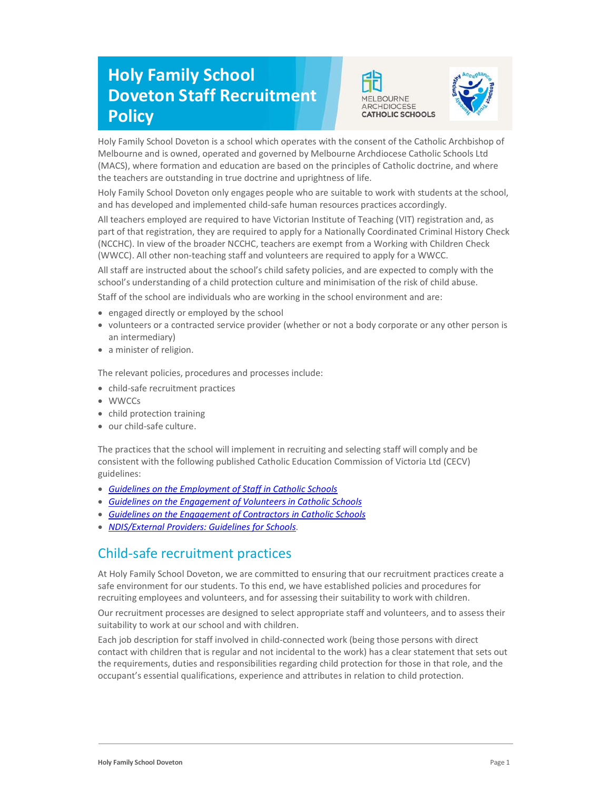# Holy Family School Doveton Staff Recruitment **Policy**





Holy Family School Doveton is a school which operates with the consent of the Catholic Archbishop of Melbourne and is owned, operated and governed by Melbourne Archdiocese Catholic Schools Ltd (MACS), where formation and education are based on the principles of Catholic doctrine, and where the teachers are outstanding in true doctrine and uprightness of life.

Holy Family School Doveton only engages people who are suitable to work with students at the school, and has developed and implemented child-safe human resources practices accordingly.

All teachers employed are required to have Victorian Institute of Teaching (VIT) registration and, as part of that registration, they are required to apply for a Nationally Coordinated Criminal History Check (NCCHC). In view of the broader NCCHC, teachers are exempt from a Working with Children Check (WWCC). All other non-teaching staff and volunteers are required to apply for a WWCC.

All staff are instructed about the school's child safety policies, and are expected to comply with the school's understanding of a child protection culture and minimisation of the risk of child abuse.

Staff of the school are individuals who are working in the school environment and are:

- engaged directly or employed by the school
- volunteers or a contracted service provider (whether or not a body corporate or any other person is an intermediary)
- a minister of religion.

The relevant policies, procedures and processes include:

- child-safe recruitment practices
- WWCCs
- child protection training
- our child-safe culture.

The practices that the school will implement in recruiting and selecting staff will comply and be consistent with the following published Catholic Education Commission of Victoria Ltd (CECV) guidelines:

- **Guidelines on the Employment of Staff in Catholic Schools**
- Guidelines on the Engagement of Volunteers in Catholic Schools
- Guidelines on the Engagement of Contractors in Catholic Schools
- NDIS/External Providers: Guidelines for Schools.

## Child-safe recruitment practices

At Holy Family School Doveton, we are committed to ensuring that our recruitment practices create a safe environment for our students. To this end, we have established policies and procedures for recruiting employees and volunteers, and for assessing their suitability to work with children.

Our recruitment processes are designed to select appropriate staff and volunteers, and to assess their suitability to work at our school and with children.

Each job description for staff involved in child-connected work (being those persons with direct contact with children that is regular and not incidental to the work) has a clear statement that sets out the requirements, duties and responsibilities regarding child protection for those in that role, and the occupant's essential qualifications, experience and attributes in relation to child protection.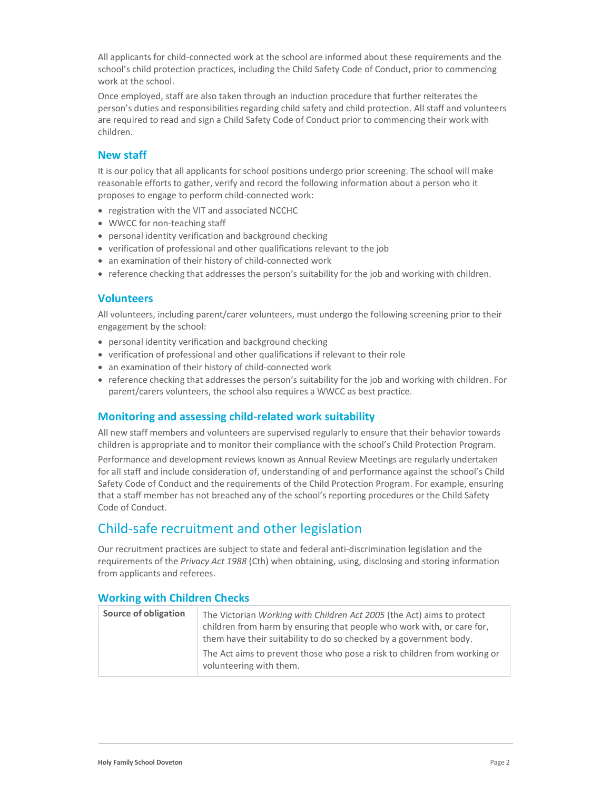All applicants for child-connected work at the school are informed about these requirements and the school's child protection practices, including the Child Safety Code of Conduct, prior to commencing work at the school.

Once employed, staff are also taken through an induction procedure that further reiterates the person's duties and responsibilities regarding child safety and child protection. All staff and volunteers are required to read and sign a Child Safety Code of Conduct prior to commencing their work with children.

### New staff

It is our policy that all applicants for school positions undergo prior screening. The school will make reasonable efforts to gather, verify and record the following information about a person who it proposes to engage to perform child-connected work:

- registration with the VIT and associated NCCHC
- WWCC for non-teaching staff
- personal identity verification and background checking
- verification of professional and other qualifications relevant to the job
- an examination of their history of child-connected work
- reference checking that addresses the person's suitability for the job and working with children.

#### Volunteers

All volunteers, including parent/carer volunteers, must undergo the following screening prior to their engagement by the school:

- personal identity verification and background checking
- verification of professional and other qualifications if relevant to their role
- an examination of their history of child-connected work
- reference checking that addresses the person's suitability for the job and working with children. For parent/carers volunteers, the school also requires a WWCC as best practice.

#### Monitoring and assessing child-related work suitability

All new staff members and volunteers are supervised regularly to ensure that their behavior towards children is appropriate and to monitor their compliance with the school's Child Protection Program.

Performance and development reviews known as Annual Review Meetings are regularly undertaken for all staff and include consideration of, understanding of and performance against the school's Child Safety Code of Conduct and the requirements of the Child Protection Program. For example, ensuring that a staff member has not breached any of the school's reporting procedures or the Child Safety Code of Conduct.

## Child-safe recruitment and other legislation

Our recruitment practices are subject to state and federal anti-discrimination legislation and the requirements of the Privacy Act 1988 (Cth) when obtaining, using, disclosing and storing information from applicants and referees.

#### Working with Children Checks

| Source of obligation | The Victorian Working with Children Act 2005 (the Act) aims to protect<br>children from harm by ensuring that people who work with, or care for,<br>them have their suitability to do so checked by a government body. |
|----------------------|------------------------------------------------------------------------------------------------------------------------------------------------------------------------------------------------------------------------|
|                      | The Act aims to prevent those who pose a risk to children from working or<br>volunteering with them.                                                                                                                   |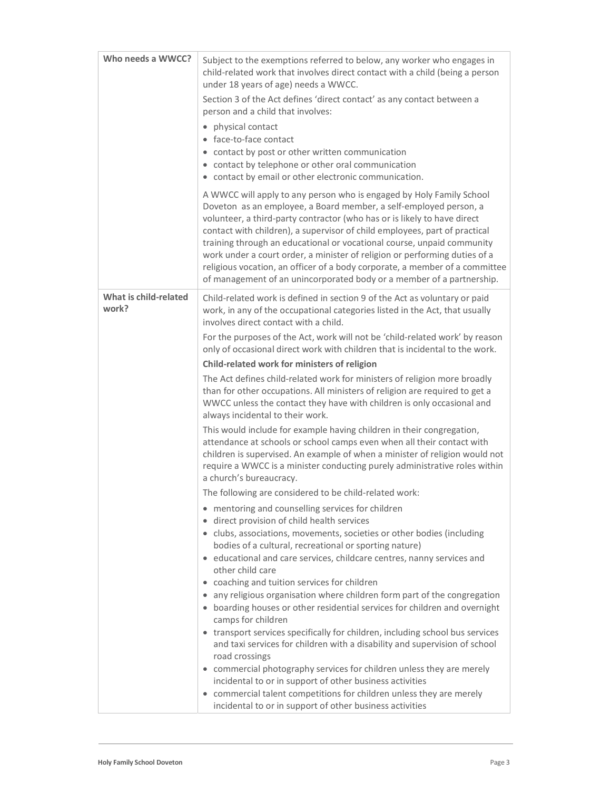| Who needs a WWCC?              | Subject to the exemptions referred to below, any worker who engages in<br>child-related work that involves direct contact with a child (being a person<br>under 18 years of age) needs a WWCC.                                                                                                                                                                                                                                                                                                                                                                                                                      |
|--------------------------------|---------------------------------------------------------------------------------------------------------------------------------------------------------------------------------------------------------------------------------------------------------------------------------------------------------------------------------------------------------------------------------------------------------------------------------------------------------------------------------------------------------------------------------------------------------------------------------------------------------------------|
|                                | Section 3 of the Act defines 'direct contact' as any contact between a<br>person and a child that involves:                                                                                                                                                                                                                                                                                                                                                                                                                                                                                                         |
|                                | physical contact<br>$\bullet$<br>• face-to-face contact<br>• contact by post or other written communication<br>• contact by telephone or other oral communication<br>• contact by email or other electronic communication.                                                                                                                                                                                                                                                                                                                                                                                          |
|                                | A WWCC will apply to any person who is engaged by Holy Family School<br>Doveton as an employee, a Board member, a self-employed person, a<br>volunteer, a third-party contractor (who has or is likely to have direct<br>contact with children), a supervisor of child employees, part of practical<br>training through an educational or vocational course, unpaid community<br>work under a court order, a minister of religion or performing duties of a<br>religious vocation, an officer of a body corporate, a member of a committee<br>of management of an unincorporated body or a member of a partnership. |
| What is child-related<br>work? | Child-related work is defined in section 9 of the Act as voluntary or paid<br>work, in any of the occupational categories listed in the Act, that usually<br>involves direct contact with a child.                                                                                                                                                                                                                                                                                                                                                                                                                  |
|                                | For the purposes of the Act, work will not be 'child-related work' by reason<br>only of occasional direct work with children that is incidental to the work.                                                                                                                                                                                                                                                                                                                                                                                                                                                        |
|                                | Child-related work for ministers of religion                                                                                                                                                                                                                                                                                                                                                                                                                                                                                                                                                                        |
|                                | The Act defines child-related work for ministers of religion more broadly<br>than for other occupations. All ministers of religion are required to get a<br>WWCC unless the contact they have with children is only occasional and<br>always incidental to their work.                                                                                                                                                                                                                                                                                                                                              |
|                                | This would include for example having children in their congregation,<br>attendance at schools or school camps even when all their contact with<br>children is supervised. An example of when a minister of religion would not<br>require a WWCC is a minister conducting purely administrative roles within<br>a church's bureaucracy.                                                                                                                                                                                                                                                                             |
|                                | The following are considered to be child-related work:                                                                                                                                                                                                                                                                                                                                                                                                                                                                                                                                                              |
|                                | • mentoring and counselling services for children                                                                                                                                                                                                                                                                                                                                                                                                                                                                                                                                                                   |
|                                | • direct provision of child health services<br>• clubs, associations, movements, societies or other bodies (including                                                                                                                                                                                                                                                                                                                                                                                                                                                                                               |
|                                | bodies of a cultural, recreational or sporting nature)                                                                                                                                                                                                                                                                                                                                                                                                                                                                                                                                                              |
|                                | • educational and care services, childcare centres, nanny services and<br>other child care                                                                                                                                                                                                                                                                                                                                                                                                                                                                                                                          |
|                                | • coaching and tuition services for children                                                                                                                                                                                                                                                                                                                                                                                                                                                                                                                                                                        |
|                                | • any religious organisation where children form part of the congregation<br>• boarding houses or other residential services for children and overnight<br>camps for children                                                                                                                                                                                                                                                                                                                                                                                                                                       |
|                                | • transport services specifically for children, including school bus services<br>and taxi services for children with a disability and supervision of school<br>road crossings                                                                                                                                                                                                                                                                                                                                                                                                                                       |
|                                | • commercial photography services for children unless they are merely                                                                                                                                                                                                                                                                                                                                                                                                                                                                                                                                               |
|                                | incidental to or in support of other business activities                                                                                                                                                                                                                                                                                                                                                                                                                                                                                                                                                            |
|                                | • commercial talent competitions for children unless they are merely<br>incidental to or in support of other business activities                                                                                                                                                                                                                                                                                                                                                                                                                                                                                    |